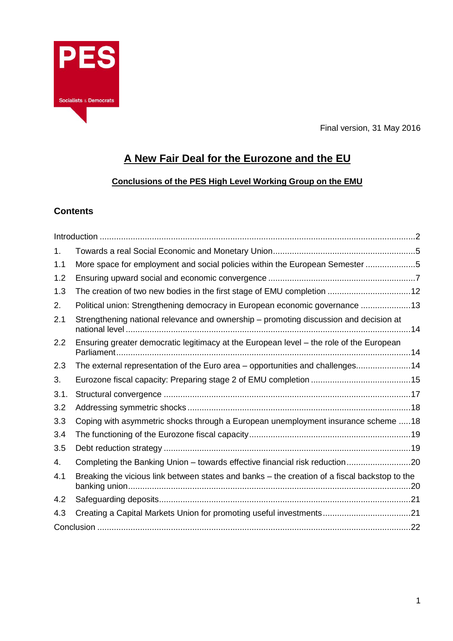

Final version, 31 May 2016

# **A New Fair Deal for the Eurozone and the EU**

# **Conclusions of the PES High Level Working Group on the EMU**

# **Contents**

| 1.   |                                                                                               |  |
|------|-----------------------------------------------------------------------------------------------|--|
| 1.1  | More space for employment and social policies within the European Semester 5                  |  |
| 1.2  |                                                                                               |  |
| 1.3  | The creation of two new bodies in the first stage of EMU completion 12                        |  |
| 2.   | Political union: Strengthening democracy in European economic governance 13                   |  |
| 2.1  | Strengthening national relevance and ownership – promoting discussion and decision at         |  |
| 2.2  | Ensuring greater democratic legitimacy at the European level - the role of the European       |  |
| 2.3  | The external representation of the Euro area - opportunities and challenges14                 |  |
| 3.   |                                                                                               |  |
| 3.1. |                                                                                               |  |
| 3.2  |                                                                                               |  |
| 3.3  | Coping with asymmetric shocks through a European unemployment insurance scheme  18            |  |
| 3.4  |                                                                                               |  |
| 3.5  |                                                                                               |  |
| 4.   | Completing the Banking Union - towards effective financial risk reduction20                   |  |
| 4.1  | Breaking the vicious link between states and banks – the creation of a fiscal backstop to the |  |
| 4.2  |                                                                                               |  |
| 4.3  | Creating a Capital Markets Union for promoting useful investments21                           |  |
|      |                                                                                               |  |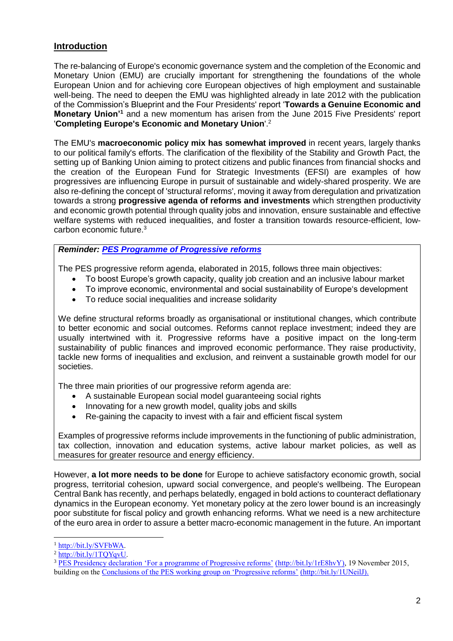# <span id="page-1-0"></span>**Introduction**

The re-balancing of Europe's economic governance system and the completion of the Economic and Monetary Union (EMU) are crucially important for strengthening the foundations of the whole European Union and for achieving core European objectives of high employment and sustainable well-being. The need to deepen the EMU was highlighted already in late 2012 with the publication of the Commission's Blueprint and the Four Presidents' report '**Towards a Genuine Economic and Monetary Union'<sup>1</sup>** and a new momentum has arisen from the June 2015 Five Presidents' report '**Completing Europe's Economic and Monetary Union**'. 2

The EMU's **macroeconomic policy mix has somewhat improved** in recent years, largely thanks to our political family's efforts. The clarification of the flexibility of the Stability and Growth Pact, the setting up of Banking Union aiming to protect citizens and public finances from financial shocks and the creation of the European Fund for Strategic Investments (EFSI) are examples of how progressives are influencing Europe in pursuit of sustainable and widely-shared prosperity. We are also re-defining the concept of 'structural reforms', moving it away from deregulation and privatization towards a strong **progressive agenda of reforms and investments** which strengthen productivity and economic growth potential through quality jobs and innovation, ensure sustainable and effective welfare systems with reduced inequalities, and foster a transition towards resource-efficient, lowcarbon economic future.<sup>3</sup>

## *Reminder: [PES Programme of Progressive reforms](https://d3n8a8pro7vhmx.cloudfront.net/partyofeuropeansocialists/pages/6428/attachments/original/1460044794/PES_Brochure_progressive_reforms-150dpi_FINAL.pdf?1460044794)*

The PES progressive reform agenda, elaborated in 2015, follows three main objectives:

- To boost Europe's growth capacity, quality job creation and an inclusive labour market
- To improve economic, environmental and social sustainability of Europe's development
- To reduce social inequalities and increase solidarity

We define structural reforms broadly as organisational or institutional changes, which contribute to better economic and social outcomes. Reforms cannot replace investment; indeed they are usually intertwined with it. Progressive reforms have a positive impact on the long-term sustainability of public finances and improved economic performance. They raise productivity, tackle new forms of inequalities and exclusion, and reinvent a sustainable growth model for our societies.

The three main priorities of our progressive reform agenda are:

- A sustainable European social model guaranteeing social rights
- Innovating for a new growth model, quality jobs and skills
- Re-gaining the capacity to invest with a fair and efficient fiscal system

Examples of progressive reforms include improvements in the functioning of public administration, tax collection, innovation and education systems, active labour market policies, as well as measures for greater resource and energy efficiency.

However, **a lot more needs to be done** for Europe to achieve satisfactory economic growth, social progress, territorial cohesion, upward social convergence, and people's wellbeing. The European Central Bank has recently, and perhaps belatedly, engaged in bold actions to counteract deflationary dynamics in the European economy. Yet monetary policy at the zero lower bound is an increasingly poor substitute for fiscal policy and growth enhancing reforms. What we need is a new architecture of the euro area in order to assure a better macro-economic management in the future. An important

 <sup>1</sup> [http://bit.ly/SVFbWA.](http://bit.ly/SVFbWA)

 $2 \overline{\text{http://bit.ly/1TQYqvU}}$ .

<sup>&</sup>lt;sup>3</sup> [PES Presidency declaration 'For a programme of Progressive reforms'](https://d3n8a8pro7vhmx.cloudfront.net/partyofeuropeansocialists/pages/6345/attachments/original/1449765282/ADOPTED_For_a_programme_of_progressive_reforms__-PES_Presidency_declaration.pdf?1449765282) (http://bit.ly/1rE8hvY), 19 November 2015, building on the [Conclusions of the PES working group on 'Progressive reforms'](https://d3n8a8pro7vhmx.cloudfront.net/partyofeuropeansocialists/pages/6428/attachments/original/1460044794/PES_Brochure_progressive_reforms-150dpi_FINAL.pdf?1460044794) (http://bit.ly/1UNeilJ).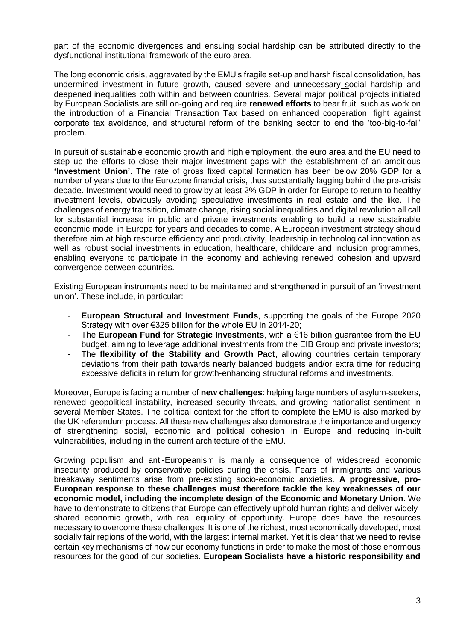part of the economic divergences and ensuing social hardship can be attributed directly to the dysfunctional institutional framework of the euro area.

The long economic crisis, aggravated by the EMU's fragile set-up and harsh fiscal consolidation, has undermined investment in future growth, caused severe and unnecessary social hardship and deepened inequalities both within and between countries. Several major political projects initiated by European Socialists are still on-going and require **renewed efforts** to bear fruit, such as work on the introduction of a Financial Transaction Tax based on enhanced cooperation, fight against corporate tax avoidance, and structural reform of the banking sector to end the 'too-big-to-fail' problem.

In pursuit of sustainable economic growth and high employment, the euro area and the EU need to step up the efforts to close their major investment gaps with the establishment of an ambitious **'Investment Union'**. The rate of gross fixed capital formation has been below 20% GDP for a number of years due to the Eurozone financial crisis, thus substantially lagging behind the pre-crisis decade. Investment would need to grow by at least 2% GDP in order for Europe to return to healthy investment levels, obviously avoiding speculative investments in real estate and the like. The challenges of energy transition, climate change, rising social inequalities and digital revolution all call for substantial increase in public and private investments enabling to build a new sustainable economic model in Europe for years and decades to come. A European investment strategy should therefore aim at high resource efficiency and productivity, leadership in technological innovation as well as robust social investments in education, healthcare, childcare and inclusion programmes, enabling everyone to participate in the economy and achieving renewed cohesion and upward convergence between countries.

Existing European instruments need to be maintained and strengthened in pursuit of an 'investment union'. These include, in particular:

- **European Structural and Investment Funds**, supporting the goals of the Europe 2020 Strategy with over €325 billion for the whole EU in 2014-20;
- The **European Fund for Strategic Investments**, with a €16 billion guarantee from the EU budget, aiming to leverage additional investments from the EIB Group and private investors;
- The **flexibility of the Stability and Growth Pact**, allowing countries certain temporary deviations from their path towards nearly balanced budgets and/or extra time for reducing excessive deficits in return for growth-enhancing structural reforms and investments.

Moreover, Europe is facing a number of **new challenges**: helping large numbers of asylum-seekers, renewed geopolitical instability, increased security threats, and growing nationalist sentiment in several Member States. The political context for the effort to complete the EMU is also marked by the UK referendum process. All these new challenges also demonstrate the importance and urgency of strengthening social, economic and political cohesion in Europe and reducing in-built vulnerabilities, including in the current architecture of the EMU.

Growing populism and anti-Europeanism is mainly a consequence of widespread economic insecurity produced by conservative policies during the crisis. Fears of immigrants and various breakaway sentiments arise from pre-existing socio-economic anxieties. **A progressive, pro-European response to these challenges must therefore tackle the key weaknesses of our economic model, including the incomplete design of the Economic and Monetary Union**. We have to demonstrate to citizens that Europe can effectively uphold human rights and deliver widelyshared economic growth, with real equality of opportunity. Europe does have the resources necessary to overcome these challenges. It is one of the richest, most economically developed, most socially fair regions of the world, with the largest internal market. Yet it is clear that we need to revise certain key mechanisms of how our economy functions in order to make the most of those enormous resources for the good of our societies. **European Socialists have a historic responsibility and**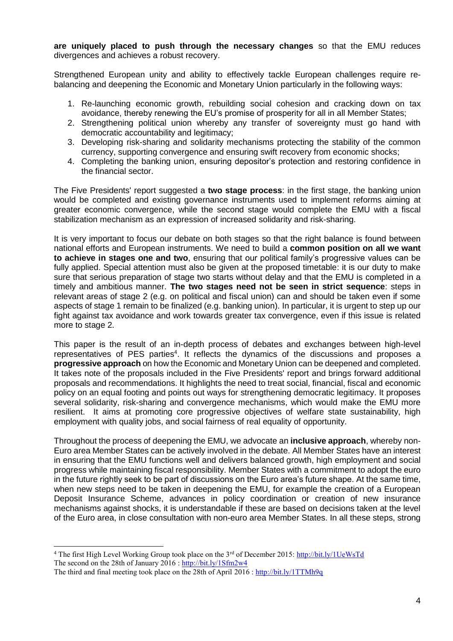**are uniquely placed to push through the necessary changes** so that the EMU reduces divergences and achieves a robust recovery.

Strengthened European unity and ability to effectively tackle European challenges require rebalancing and deepening the Economic and Monetary Union particularly in the following ways:

- 1. Re-launching economic growth, rebuilding social cohesion and cracking down on tax avoidance, thereby renewing the EU's promise of prosperity for all in all Member States;
- 2. Strengthening political union whereby any transfer of sovereignty must go hand with democratic accountability and legitimacy;
- 3. Developing risk-sharing and solidarity mechanisms protecting the stability of the common currency, supporting convergence and ensuring swift recovery from economic shocks;
- 4. Completing the banking union, ensuring depositor's protection and restoring confidence in the financial sector.

The Five Presidents' report suggested a **two stage process**: in the first stage, the banking union would be completed and existing governance instruments used to implement reforms aiming at greater economic convergence, while the second stage would complete the EMU with a fiscal stabilization mechanism as an expression of increased solidarity and risk-sharing.

It is very important to focus our debate on both stages so that the right balance is found between national efforts and European instruments. We need to build a **common position on all we want to achieve in stages one and two**, ensuring that our political family's progressive values can be fully applied. Special attention must also be given at the proposed timetable: it is our duty to make sure that serious preparation of stage two starts without delay and that the EMU is completed in a timely and ambitious manner. **The two stages need not be seen in strict sequence**: steps in relevant areas of stage 2 (e.g. on political and fiscal union) can and should be taken even if some aspects of stage 1 remain to be finalized (e.g. banking union). In particular, it is urgent to step up our fight against tax avoidance and work towards greater tax convergence, even if this issue is related more to stage 2.

This paper is the result of an in-depth process of debates and exchanges between high-level representatives of PES parties<sup>4</sup>. It reflects the dynamics of the discussions and proposes a **progressive approach** on how the Economic and Monetary Union can be deepened and completed. It takes note of the proposals included in the Five Presidents' report and brings forward additional proposals and recommendations. It highlights the need to treat social, financial, fiscal and economic policy on an equal footing and points out ways for strengthening democratic legitimacy. It proposes several solidarity, risk-sharing and convergence mechanisms, which would make the EMU more resilient. It aims at promoting core progressive objectives of welfare state sustainability, high employment with quality jobs, and social fairness of real equality of opportunity.

Throughout the process of deepening the EMU, we advocate an **inclusive approach**, whereby non-Euro area Member States can be actively involved in the debate. All Member States have an interest in ensuring that the EMU functions well and delivers balanced growth, high employment and social progress while maintaining fiscal responsibility. Member States with a commitment to adopt the euro in the future rightly seek to be part of discussions on the Euro area's future shape. At the same time, when new steps need to be taken in deepening the EMU, for example the creation of a European Deposit Insurance Scheme, advances in policy coordination or creation of new insurance mechanisms against shocks, it is understandable if these are based on decisions taken at the level of the Euro area, in close consultation with non-euro area Member States. In all these steps, strong

<sup>&</sup>lt;sup>4</sup> The first High Level Working Group took place on the  $3<sup>rd</sup>$  of December 2015: <http://bit.ly/1UeWsTd> The second on the 28th of January 2016 : <http://bit.ly/1Sfm2w4>

The third and final meeting took place on the 28th of April 2016 : <http://bit.ly/1TTMh9q>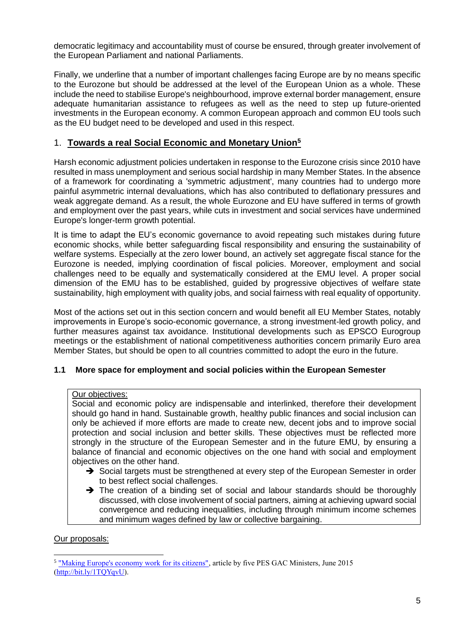democratic legitimacy and accountability must of course be ensured, through greater involvement of the European Parliament and national Parliaments.

Finally, we underline that a number of important challenges facing Europe are by no means specific to the Eurozone but should be addressed at the level of the European Union as a whole. These include the need to stabilise Europe's neighbourhood, improve external border management, ensure adequate humanitarian assistance to refugees as well as the need to step up future-oriented investments in the European economy. A common European approach and common EU tools such as the EU budget need to be developed and used in this respect.

# <span id="page-4-0"></span>1. **Towards a real Social Economic and Monetary Union<sup>5</sup>**

Harsh economic adjustment policies undertaken in response to the Eurozone crisis since 2010 have resulted in mass unemployment and serious social hardship in many Member States. In the absence of a framework for coordinating a 'symmetric adjustment', many countries had to undergo more painful asymmetric internal devaluations, which has also contributed to deflationary pressures and weak aggregate demand. As a result, the whole Eurozone and EU have suffered in terms of growth and employment over the past years, while cuts in investment and social services have undermined Europe's longer-term growth potential.

It is time to adapt the EU's economic governance to avoid repeating such mistakes during future economic shocks, while better safeguarding fiscal responsibility and ensuring the sustainability of welfare systems. Especially at the zero lower bound, an actively set aggregate fiscal stance for the Eurozone is needed, implying coordination of fiscal policies. Moreover, employment and social challenges need to be equally and systematically considered at the EMU level. A proper social dimension of the EMU has to be established, guided by progressive objectives of welfare state sustainability, high employment with quality jobs, and social fairness with real equality of opportunity.

Most of the actions set out in this section concern and would benefit all EU Member States, notably improvements in Europe's socio-economic governance, a strong investment-led growth policy, and further measures against tax avoidance. Institutional developments such as EPSCO Eurogroup meetings or the establishment of national competitiveness authorities concern primarily Euro area Member States, but should be open to all countries committed to adopt the euro in the future.

## <span id="page-4-1"></span>**1.1 More space for employment and social policies within the European Semester**

#### Our objectives:

Social and economic policy are indispensable and interlinked, therefore their development should go hand in hand. Sustainable growth, healthy public finances and social inclusion can only be achieved if more efforts are made to create new, decent jobs and to improve social protection and social inclusion and better skills. These objectives must be reflected more strongly in the structure of the European Semester and in the future EMU, by ensuring a balance of financial and economic objectives on the one hand with social and employment objectives on the other hand.

- $\rightarrow$  Social targets must be strengthened at every step of the European Semester in order to best reflect social challenges.
- $\rightarrow$  The creation of a binding set of social and labour standards should be thoroughly discussed, with close involvement of social partners, aiming at achieving upward social convergence and reducing inequalities, including through minimum income schemes and minimum wages defined by law or collective bargaining.

#### Our proposals:

 $\overline{a}$ <sup>5</sup> ["Making Europe's economy work for its citizens",](http://www.pes.eu/making_europe_s_economy_work_for_its_citizens) article by five PES GAC Ministers, June 2015 [\(http://bit.ly/1TQYqvU\)](http://bit.ly/1TQYqvU).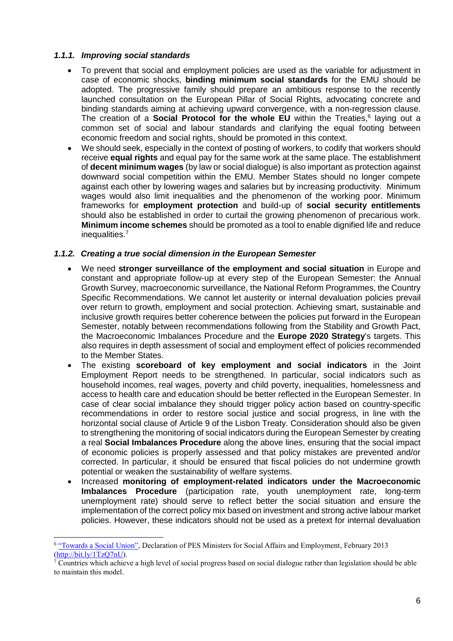## *1.1.1. Improving social standards*

- To prevent that social and employment policies are used as the variable for adjustment in case of economic shocks, **binding minimum social standards** for the EMU should be adopted. The progressive family should prepare an ambitious response to the recently launched consultation on the European Pillar of Social Rights, advocating concrete and binding standards aiming at achieving upward convergence, with a non-regression clause. The creation of a **Social Protocol for the whole EU** within the Treaties, 6 laying out a common set of social and labour standards and clarifying the equal footing between economic freedom and social rights, should be promoted in this context.
- We should seek, especially in the context of posting of workers, to codify that workers should receive **equal rights** and equal pay for the same work at the same place. The establishment of **decent minimum wages** (by law or social dialogue) is also important as protection against downward social competition within the EMU. Member States should no longer compete against each other by lowering wages and salaries but by increasing productivity. Minimum wages would also limit inequalities and the phenomenon of the working poor. Minimum frameworks for **employment protection** and build-up of **social security entitlements** should also be established in order to curtail the growing phenomenon of precarious work. **Minimum income schemes** should be promoted as a tool to enable dignified life and reduce inequalities.<sup>7</sup>

## *1.1.2. Creating a true social dimension in the European Semester*

- We need **stronger surveillance of the employment and social situation** in Europe and constant and appropriate follow-up at every step of the European Semester: the Annual Growth Survey, macroeconomic surveillance, the National Reform Programmes, the Country Specific Recommendations. We cannot let austerity or internal devaluation policies prevail over return to growth, employment and social protection. Achieving smart, sustainable and inclusive growth requires better coherence between the policies put forward in the European Semester, notably between recommendations following from the Stability and Growth Pact, the Macroeconomic Imbalances Procedure and the **Europe 2020 Strategy**'s targets. This also requires in depth assessment of social and employment effect of policies recommended to the Member States.
- The existing **scoreboard of key employment and social indicators** in the Joint Employment Report needs to be strengthened. In particular, social indicators such as household incomes, real wages, poverty and child poverty, inequalities, homelessness and access to health care and education should be better reflected in the European Semester. In case of clear social imbalance they should trigger policy action based on country-specific recommendations in order to restore social justice and social progress, in line with the horizontal social clause of Article 9 of the Lisbon Treaty. Consideration should also be given to strengthening the monitoring of social indicators during the European Semester by creating a real **Social Imbalances Procedure** along the above lines, ensuring that the social impact of economic policies is properly assessed and that policy mistakes are prevented and/or corrected. In particular, it should be ensured that fiscal policies do not undermine growth potential or weaken the sustainability of welfare systems.
- Increased **monitoring of employment-related indicators under the Macroeconomic Imbalances Procedure** (participation rate, youth unemployment rate, long-term unemployment rate) should serve to reflect better the social situation and ensure the implementation of the correct policy mix based on investment and strong active labour market policies. However, these indicators should not be used as a pretext for internal devaluation

<sup>&</sup>lt;sup>6</sup> ["Towards a Social Union",](http://bit.ly/1TzQ7nU) Declaration of PES Ministers for Social Affairs and Employment, February 2013 [\(http://bit.ly/1TzQ7nU\)](http://bit.ly/1TzQ7nU).

<sup>7</sup> Countries which achieve a high level of social progress based on social dialogue rather than legislation should be able to maintain this model.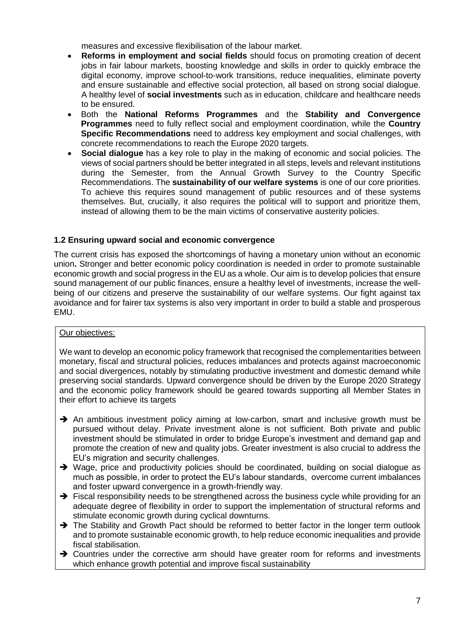measures and excessive flexibilisation of the labour market.

- **Reforms in employment and social fields** should focus on promoting creation of decent jobs in fair labour markets, boosting knowledge and skills in order to quickly embrace the digital economy, improve school-to-work transitions, reduce inequalities, eliminate poverty and ensure sustainable and effective social protection, all based on strong social dialogue. A healthy level of **social investments** such as in education, childcare and healthcare needs to be ensured.
- Both the **National Reforms Programmes** and the **Stability and Convergence Programmes** need to fully reflect social and employment coordination, while the **Country Specific Recommendations** need to address key employment and social challenges, with concrete recommendations to reach the Europe 2020 targets.
- **Social dialogue** has a key role to play in the making of economic and social policies. The views of social partners should be better integrated in all steps, levels and relevant institutions during the Semester, from the Annual Growth Survey to the Country Specific Recommendations. The **sustainability of our welfare systems** is one of our core priorities. To achieve this requires sound management of public resources and of these systems themselves. But, crucially, it also requires the political will to support and prioritize them, instead of allowing them to be the main victims of conservative austerity policies.

#### <span id="page-6-0"></span>**1.2 Ensuring upward social and economic convergence**

The current crisis has exposed the shortcomings of having a monetary union without an economic union**.** Stronger and better economic policy coordination is needed in order to promote sustainable economic growth and social progress in the EU as a whole. Our aim is to develop policies that ensure sound management of our public finances, ensure a healthy level of investments, increase the wellbeing of our citizens and preserve the sustainability of our welfare systems. Our fight against tax avoidance and for fairer tax systems is also very important in order to build a stable and prosperous EMU.

#### Our objectives:

We want to develop an economic policy framework that recognised the complementarities between monetary, fiscal and structural policies, reduces imbalances and protects against macroeconomic and social divergences, notably by stimulating productive investment and domestic demand while preserving social standards. Upward convergence should be driven by the Europe 2020 Strategy and the economic policy framework should be geared towards supporting all Member States in their effort to achieve its targets

- An ambitious investment policy aiming at low-carbon, smart and inclusive growth must be pursued without delay. Private investment alone is not sufficient. Both private and public investment should be stimulated in order to bridge Europe's investment and demand gap and promote the creation of new and quality jobs. Greater investment is also crucial to address the EU's migration and security challenges.
- → Wage, price and productivity policies should be coordinated, building on social dialogue as much as possible, in order to protect the EU's labour standards, overcome current imbalances and foster upward convergence in a growth-friendly way.
- $\rightarrow$  Fiscal responsibility needs to be strengthened across the business cycle while providing for an adequate degree of flexibility in order to support the implementation of structural reforms and stimulate economic growth during cyclical downturns.
- The Stability and Growth Pact should be reformed to better factor in the longer term outlook and to promote sustainable economic growth, to help reduce economic inequalities and provide fiscal stabilisation.
- $\rightarrow$  Countries under the corrective arm should have greater room for reforms and investments which enhance growth potential and improve fiscal sustainability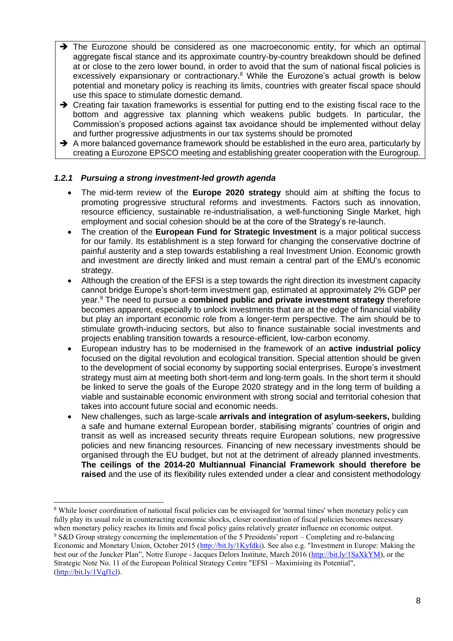- $\rightarrow$  The Eurozone should be considered as one macroeconomic entity, for which an optimal aggregate fiscal stance and its approximate country-by-country breakdown should be defined at or close to the zero lower bound, in order to avoid that the sum of national fiscal policies is excessively expansionary or contractionary.<sup>8</sup> While the Eurozone's actual growth is below potential and monetary policy is reaching its limits, countries with greater fiscal space should use this space to stimulate domestic demand.
- $\rightarrow$  Creating fair taxation frameworks is essential for putting end to the existing fiscal race to the bottom and aggressive tax planning which weakens public budgets. In particular, the Commission's proposed actions against tax avoidance should be implemented without delay and further progressive adjustments in our tax systems should be promoted
- $\rightarrow$  A more balanced governance framework should be established in the euro area, particularly by creating a Eurozone EPSCO meeting and establishing greater cooperation with the Eurogroup.

## *1.2.1 Pursuing a strong investment-led growth agenda*

- The mid-term review of the **Europe 2020 strategy** should aim at shifting the focus to promoting progressive structural reforms and investments. Factors such as innovation, resource efficiency, sustainable re-industrialisation, a well-functioning Single Market, high employment and social cohesion should be at the core of the Strategy's re-launch.
- The creation of the **European Fund for Strategic Investment** is a major political success for our family. Its establishment is a step forward for changing the conservative doctrine of painful austerity and a step towards establishing a real Investment Union. Economic growth and investment are directly linked and must remain a central part of the EMU's economic strategy.
- Although the creation of the EFSI is a step towards the right direction its investment capacity cannot bridge Europe's short-term investment gap, estimated at approximately 2% GDP per year. <sup>9</sup> The need to pursue a **combined public and private investment strategy** therefore becomes apparent, especially to unlock investments that are at the edge of financial viability but play an important economic role from a longer-term perspective. The aim should be to stimulate growth-inducing sectors, but also to finance sustainable social investments and projects enabling transition towards a resource-efficient, low-carbon economy.
- European industry has to be modernised in the framework of an **active industrial policy** focused on the digital revolution and ecological transition. Special attention should be given to the development of social economy by supporting social enterprises. Europe's investment strategy must aim at meeting both short-term and long-term goals. In the short term it should be linked to serve the goals of the Europe 2020 strategy and in the long term of building a viable and sustainable economic environment with strong social and territorial cohesion that takes into account future social and economic needs.
- New challenges, such as large-scale **arrivals and integration of asylum-seekers,** building a safe and humane external European border, stabilising migrants' countries of origin and transit as well as increased security threats require European solutions, new progressive policies and new financing resources. Financing of new necessary investments should be organised through the EU budget, but not at the detriment of already planned investments. **The ceilings of the 2014-20 Multiannual Financial Framework should therefore be raised** and the use of its flexibility rules extended under a clear and consistent methodology

<sup>&</sup>lt;sup>8</sup> While looser coordination of national fiscal policies can be envisaged for 'normal times' when monetary policy can fully play its usual role in counteracting economic shocks, closer coordination of fiscal policies becomes necessary when monetary policy reaches its limits and fiscal policy gains relatively greater influence on economic output. <sup>9</sup> S&D Group strategy concerning the implementation of the 5 Presidents' report – Completing and re-balancing Economic and Monetary Union, October 2015 [\(http://bit.ly/1Kyfdki\)](http://bit.ly/1Kyfdki). See also e.g. "Investment in Europe: Making the best our of the Juncker Plan", Notre Europe - Jacques Delors Institute, March 2016 [\(http://bit.ly/1SaXkYM\)](http://bit.ly/1SaXkYM), or the Strategic Note No. 11 of the European Political Strategy Centre "EFSI – Maximising its Potential", [\(http://bit.ly/1Vqf1cl\)](http://bit.ly/1Vqf1cl).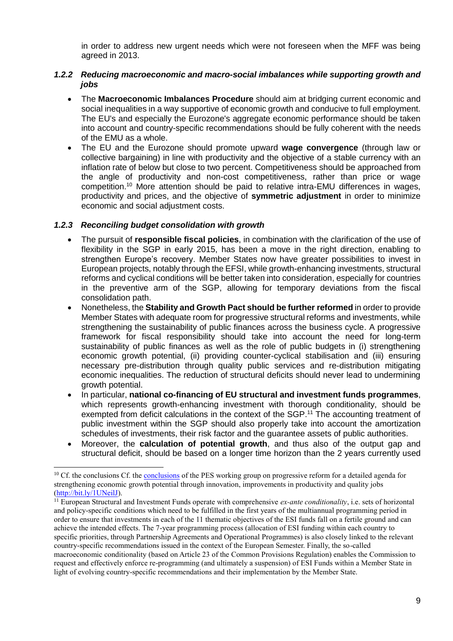in order to address new urgent needs which were not foreseen when the MFF was being agreed in 2013.

## *1.2.2 Reducing macroeconomic and macro-social imbalances while supporting growth and jobs*

- The **Macroeconomic Imbalances Procedure** should aim at bridging current economic and social inequalities in a way supportive of economic growth and conducive to full employment. The EU's and especially the Eurozone's aggregate economic performance should be taken into account and country-specific recommendations should be fully coherent with the needs of the EMU as a whole.
- The EU and the Eurozone should promote upward **wage convergence** (through law or collective bargaining) in line with productivity and the objective of a stable currency with an inflation rate of below but close to two percent. Competitiveness should be approached from the angle of productivity and non-cost competitiveness, rather than price or wage competition.<sup>10</sup> More attention should be paid to relative intra-EMU differences in wages, productivity and prices, and the objective of **symmetric adjustment** in order to minimize economic and social adjustment costs.

## *1.2.3 Reconciling budget consolidation with growth*

- The pursuit of **responsible fiscal policies**, in combination with the clarification of the use of flexibility in the SGP in early 2015, has been a move in the right direction, enabling to strengthen Europe's recovery. Member States now have greater possibilities to invest in European projects, notably through the EFSI, while growth-enhancing investments, structural reforms and cyclical conditions will be better taken into consideration, especially for countries in the preventive arm of the SGP, allowing for temporary deviations from the fiscal consolidation path.
- Nonetheless, the **Stability and Growth Pact should be further reformed** in order to provide Member States with adequate room for progressive structural reforms and investments, while strengthening the sustainability of public finances across the business cycle. A progressive framework for fiscal responsibility should take into account the need for long-term sustainability of public finances as well as the role of public budgets in (i) strengthening economic growth potential, (ii) providing counter-cyclical stabilisation and (iii) ensuring necessary pre-distribution through quality public services and re-distribution mitigating economic inequalities. The reduction of structural deficits should never lead to undermining growth potential.
- In particular, **national co-financing of EU structural and investment funds programmes**, which represents growth-enhancing investment with thorough conditionality, should be exempted from deficit calculations in the context of the SGP.<sup>11</sup> The accounting treatment of public investment within the SGP should also properly take into account the amortization schedules of investments, their risk factor and the guarantee assets of public authorities.
- Moreover, the **calculation of potential growth**, and thus also of the output gap and structural deficit, should be based on a longer time horizon than the 2 years currently used

<sup>&</sup>lt;sup>10</sup> Cf. the [conclusions](https://d3n8a8pro7vhmx.cloudfront.net/partyofeuropeansocialists/pages/6428/attachments/original/1460044794/PES_Brochure_progressive_reforms-150dpi_FINAL.pdf?1460044794) Cf. the **conclusions** of the PES working group on progressive reform for a detailed agenda for strengthening economic growth potential through innovation, improvements in productivity and quality jobs [\(http://bit.ly/1UNeilJ\)](http://bit.ly/1UNeilJ).

<sup>11</sup> European Structural and Investment Funds operate with comprehensive *ex-ante conditionality*, i.e. sets of horizontal and policy-specific conditions which need to be fulfilled in the first years of the multiannual programming period in order to ensure that investments in each of the 11 thematic objectives of the ESI funds fall on a fertile ground and can achieve the intended effects. The 7-year programming process (allocation of ESI funding within each country to specific priorities, through Partnership Agreements and Operational Programmes) is also closely linked to the relevant country-specific recommendations issued in the context of the European Semester. Finally, the so-called macroeconomic conditionality (based on Article 23 of the Common Provisions Regulation) enables the Commission to request and effectively enforce re-programming (and ultimately a suspension) of ESI Funds within a Member State in light of evolving country-specific recommendations and their implementation by the Member State.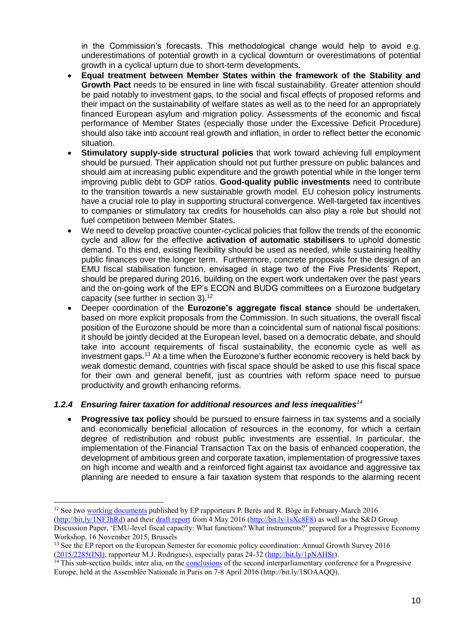in the Commission's forecasts. This methodological change would help to avoid e.g. underestimations of potential growth in a cyclical downturn or overestimations of potential growth in a cyclical upturn due to short-term developments.

- **Equal treatment between Member States within the framework of the Stability and Growth Pact** needs to be ensured in line with fiscal sustainability. Greater attention should be paid notably to investment gaps, to the social and fiscal effects of proposed reforms and their impact on the sustainability of welfare states as well as to the need for an appropriately financed European asylum and migration policy. Assessments of the economic and fiscal performance of Member States (especially those under the Excessive Deficit Procedure) should also take into account real growth and inflation, in order to reflect better the economic situation.
- **Stimulatory supply-side structural policies** that work toward achieving full employment should be pursued. Their application should not put further pressure on public balances and should aim at increasing public expenditure and the growth potential while in the longer term improving public debt to GDP ratios. **Good-quality public investments** need to contribute to the transition towards a new sustainable growth model. EU cohesion policy instruments have a crucial role to play in supporting structural convergence. Well-targeted tax incentives to companies or stimulatory tax credits for households can also play a role but should not fuel competition between Member States.
- We need to develop proactive counter-cyclical policies that follow the trends of the economic cycle and allow for the effective **activation of automatic stabilisers** to uphold domestic demand. To this end, existing flexibility should be used as needed, while sustaining healthy public finances over the longer term. Furthermore, concrete proposals for the design of an EMU fiscal stabilisation function, envisaged in stage two of the Five Presidents' Report, should be prepared during 2016, building on the expert work undertaken over the past years and the on-going work of the EP's ECON and BUDG committees on a Eurozone budgetary capacity (see further in section 3).<sup>12</sup>
- Deeper coordination of the **Eurozone's aggregate fiscal stance** should be undertaken, based on more explicit proposals from the Commission. In such situations, the overall fiscal position of the Eurozone should be more than a coincidental sum of national fiscal positions: it should be jointly decided at the European level, based on a democratic debate, and should take into account requirements of fiscal sustainability, the economic cycle as well as investment gaps.<sup>13</sup> At a time when the Eurozone's further economic recovery is held back by weak domestic demand, countries with fiscal space should be asked to use this fiscal space for their own and general benefit, just as countries with reform space need to pursue productivity and growth enhancing reforms.

## *1.2.4 Ensuring fairer taxation for additional resources and less inequalities<sup>14</sup>*

 **Progressive tax policy** should be pursued to ensure fairness in tax systems and a socially and economically beneficial allocation of resources in the economy, for which a certain degree of redistribution and robust public investments are essential. In particular, the implementation of the Financial Transaction Tax on the basis of enhanced cooperation, the development of ambitious green and corporate taxation, implementation of progressive taxes on high income and wealth and a reinforced fight against tax avoidance and aggressive tax planning are needed to ensure a fair taxation system that responds to the alarming recent

 <sup>12</sup> See two [working documents](http://www.europarl.europa.eu/committees/en/budg/working-documents.html?ufolderComCode=CJ16&ufolderLegId=8&ufolderId=05365&linkedDocument=true&urefProcYear=&urefProcNum=&urefProcCode=) published by EP rapporteurs P. Berès and R. Böge in February-March 2016 [\(http://bit.ly/1NF3hRd\)](http://bit.ly/1NF3hRd) and their [draft report](http://bit.ly/1sXc8F8) from 4 May 2016 [\(http://bit.ly/1sXc8F8\)](http://bit.ly/1sXc8F8) as well as the S&D Group Discussion Paper, 'EMU-level fiscal capacity: What functions? What instruments?' prepared for a Progressive Economy

Workshop, 16 November 2015, Brussels

<sup>&</sup>lt;sup>13</sup> See the EP report on the European Semester for economic policy coordination: Annual Growth Survey 2016 [\(2015/2285\(INI\),](http://www.europarl.europa.eu/sides/getDoc.do?pubRef=-%2f%2fEP%2f%2fTEXT%2bREPORT%2bA8-2016-0030%2b0%2bDOC%2bXML%2bV0%2f%2fEN&language=EN) rapporteur M.J. Rodrigues), especially paras 24-32 [\(http://bit.ly/1pNAHSr\)](http://bit.ly/1pNAHSr).

<sup>&</sup>lt;sup>14</sup> This sub-section builds, inter alia, on the [conclusions](https://valerierabault.com/2016/04/08/2167/) of the second interparliamentary conference for a Progressive Europe, held at the Assemblée Nationale in Paris on 7-8 April 2016 (http://bit.ly/1SOAAQQ).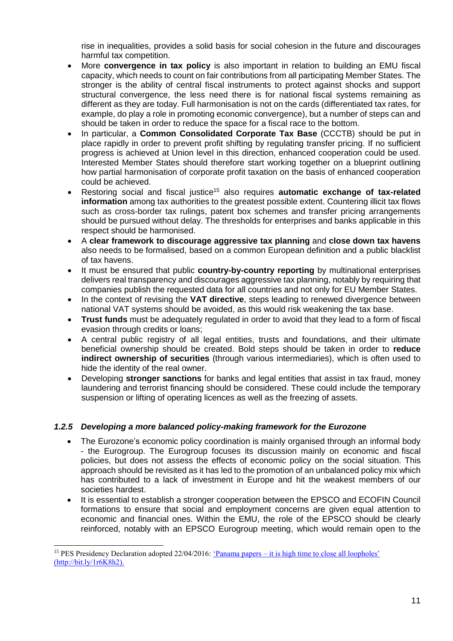rise in inequalities, provides a solid basis for social cohesion in the future and discourages harmful tax competition.

- More **convergence in tax policy** is also important in relation to building an EMU fiscal capacity, which needs to count on fair contributions from all participating Member States. The stronger is the ability of central fiscal instruments to protect against shocks and support structural convergence, the less need there is for national fiscal systems remaining as different as they are today. Full harmonisation is not on the cards (differentiated tax rates, for example, do play a role in promoting economic convergence), but a number of steps can and should be taken in order to reduce the space for a fiscal race to the bottom.
- In particular, a **Common Consolidated Corporate Tax Base** (CCCTB) should be put in place rapidly in order to prevent profit shifting by regulating transfer pricing. If no sufficient progress is achieved at Union level in this direction, enhanced cooperation could be used. Interested Member States should therefore start working together on a blueprint outlining how partial harmonisation of corporate profit taxation on the basis of enhanced cooperation could be achieved.
- Restoring social and fiscal justice<sup>15</sup> also requires **automatic exchange of tax-related information** among tax authorities to the greatest possible extent. Countering illicit tax flows such as cross-border tax rulings, patent box schemes and transfer pricing arrangements should be pursued without delay. The thresholds for enterprises and banks applicable in this respect should be harmonised.
- A **clear framework to discourage aggressive tax planning** and **close down tax havens** also needs to be formalised, based on a common European definition and a public blacklist of tax havens.
- It must be ensured that public **country-by-country reporting** by multinational enterprises delivers real transparency and discourages aggressive tax planning, notably by requiring that companies publish the requested data for all countries and not only for EU Member States.
- In the context of revising the **VAT directive**, steps leading to renewed divergence between national VAT systems should be avoided, as this would risk weakening the tax base.
- **Trust funds** must be adequately regulated in order to avoid that they lead to a form of fiscal evasion through credits or loans;
- A central public registry of all legal entities, trusts and foundations, and their ultimate beneficial ownership should be created. Bold steps should be taken in order to **reduce indirect ownership of securities** (through various intermediaries), which is often used to hide the identity of the real owner.
- Developing **stronger sanctions** for banks and legal entities that assist in tax fraud, money laundering and terrorist financing should be considered. These could include the temporary suspension or lifting of operating licences as well as the freezing of assets.

## *1.2.5 Developing a more balanced policy-making framework for the Eurozone*

- The Eurozone's economic policy coordination is mainly organised through an informal body - the Eurogroup. The Eurogroup focuses its discussion mainly on economic and fiscal policies, but does not assess the effects of economic policy on the social situation. This approach should be revisited as it has led to the promotion of an unbalanced policy mix which has contributed to a lack of investment in Europe and hit the weakest members of our societies hardest.
- It is essential to establish a stronger cooperation between the EPSCO and ECOFIN Council formations to ensure that social and employment concerns are given equal attention to economic and financial ones. Within the EMU, the role of the EPSCO should be clearly reinforced, notably with an EPSCO Eurogroup meeting, which would remain open to the

<sup>&</sup>lt;sup>15</sup> PES Presidency Declaration adopted 22/04/2016: 'Panama papers – [it is high time to close all loopholes'](https://d3n8a8pro7vhmx.cloudfront.net/partyofeuropeansocialists/pages/6465/attachments/original/1461342412/Adopted_PES_Presidency_Declaration_-_Panama_Papers_-_it_is_high_time_to_close_all_loopholes_(002).pdf?1461342412) (http://bit.ly/1r6K8h2).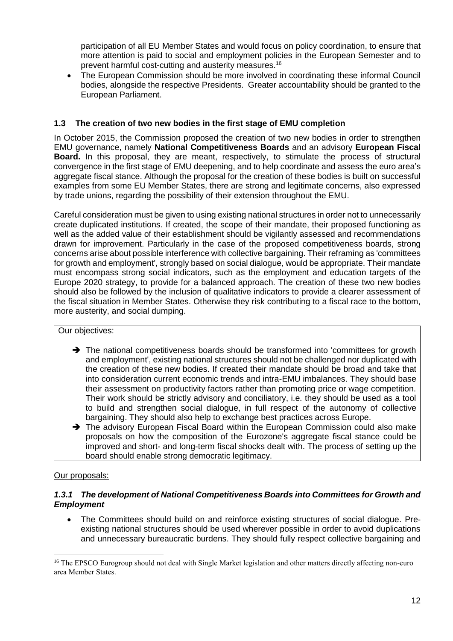participation of all EU Member States and would focus on policy coordination, to ensure that more attention is paid to social and employment policies in the European Semester and to prevent harmful cost-cutting and austerity measures.<sup>16</sup>

 The European Commission should be more involved in coordinating these informal Council bodies, alongside the respective Presidents. Greater accountability should be granted to the European Parliament.

## <span id="page-11-0"></span>**1.3 The creation of two new bodies in the first stage of EMU completion**

In October 2015, the Commission proposed the creation of two new bodies in order to strengthen EMU governance, namely **National Competitiveness Boards** and an advisory **European Fiscal Board.** In this proposal, they are meant, respectively, to stimulate the process of structural convergence in the first stage of EMU deepening, and to help coordinate and assess the euro area's aggregate fiscal stance. Although the proposal for the creation of these bodies is built on successful examples from some EU Member States, there are strong and legitimate concerns, also expressed by trade unions, regarding the possibility of their extension throughout the EMU.

Careful consideration must be given to using existing national structures in order not to unnecessarily create duplicated institutions. If created, the scope of their mandate, their proposed functioning as well as the added value of their establishment should be vigilantly assessed and recommendations drawn for improvement. Particularly in the case of the proposed competitiveness boards, strong concerns arise about possible interference with collective bargaining. Their reframing as 'committees for growth and employment', strongly based on social dialogue, would be appropriate. Their mandate must encompass strong social indicators, such as the employment and education targets of the Europe 2020 strategy, to provide for a balanced approach. The creation of these two new bodies should also be followed by the inclusion of qualitative indicators to provide a clearer assessment of the fiscal situation in Member States. Otherwise they risk contributing to a fiscal race to the bottom, more austerity, and social dumping.

#### Our objectives:

- $\rightarrow$  The national competitiveness boards should be transformed into 'committees for growth and employment', existing national structures should not be challenged nor duplicated with the creation of these new bodies. If created their mandate should be broad and take that into consideration current economic trends and intra-EMU imbalances. They should base their assessment on productivity factors rather than promoting price or wage competition. Their work should be strictly advisory and conciliatory, i.e. they should be used as a tool to build and strengthen social dialogue, in full respect of the autonomy of collective bargaining. They should also help to exchange best practices across Europe.
- $\rightarrow$  The advisory European Fiscal Board within the European Commission could also make proposals on how the composition of the Eurozone's aggregate fiscal stance could be improved and short- and long-term fiscal shocks dealt with. The process of setting up the board should enable strong democratic legitimacy.

#### Our proposals:

 $\overline{a}$ 

#### *1.3.1 The development of National Competitiveness Boards into Committees for Growth and Employment*

 The Committees should build on and reinforce existing structures of social dialogue. Preexisting national structures should be used wherever possible in order to avoid duplications and unnecessary bureaucratic burdens. They should fully respect collective bargaining and

<sup>&</sup>lt;sup>16</sup> The EPSCO Eurogroup should not deal with Single Market legislation and other matters directly affecting non-euro area Member States.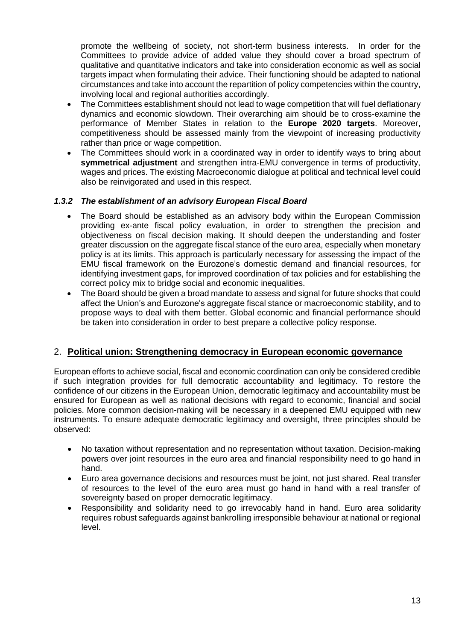promote the wellbeing of society, not short-term business interests. In order for the Committees to provide advice of added value they should cover a broad spectrum of qualitative and quantitative indicators and take into consideration economic as well as social targets impact when formulating their advice. Their functioning should be adapted to national circumstances and take into account the repartition of policy competencies within the country, involving local and regional authorities accordingly.

- The Committees establishment should not lead to wage competition that will fuel deflationary dynamics and economic slowdown. Their overarching aim should be to cross-examine the performance of Member States in relation to the **Europe 2020 targets**. Moreover, competitiveness should be assessed mainly from the viewpoint of increasing productivity rather than price or wage competition.
- The Committees should work in a coordinated way in order to identify ways to bring about **symmetrical adjustment** and strengthen intra-EMU convergence in terms of productivity, wages and prices. The existing Macroeconomic dialogue at political and technical level could also be reinvigorated and used in this respect.

## *1.3.2 The establishment of an advisory European Fiscal Board*

- The Board should be established as an advisory body within the European Commission providing ex-ante fiscal policy evaluation, in order to strengthen the precision and objectiveness on fiscal decision making. It should deepen the understanding and foster greater discussion on the aggregate fiscal stance of the euro area, especially when monetary policy is at its limits. This approach is particularly necessary for assessing the impact of the EMU fiscal framework on the Eurozone's domestic demand and financial resources, for identifying investment gaps, for improved coordination of tax policies and for establishing the correct policy mix to bridge social and economic inequalities.
- The Board should be given a broad mandate to assess and signal for future shocks that could affect the Union's and Eurozone's aggregate fiscal stance or macroeconomic stability, and to propose ways to deal with them better. Global economic and financial performance should be taken into consideration in order to best prepare a collective policy response.

## <span id="page-12-0"></span>2. **Political union: Strengthening democracy in European economic governance**

European efforts to achieve social, fiscal and economic coordination can only be considered credible if such integration provides for full democratic accountability and legitimacy. To restore the confidence of our citizens in the European Union, democratic legitimacy and accountability must be ensured for European as well as national decisions with regard to economic, financial and social policies. More common decision-making will be necessary in a deepened EMU equipped with new instruments. To ensure adequate democratic legitimacy and oversight, three principles should be observed:

- No taxation without representation and no representation without taxation. Decision-making powers over joint resources in the euro area and financial responsibility need to go hand in hand.
- Euro area governance decisions and resources must be joint, not just shared. Real transfer of resources to the level of the euro area must go hand in hand with a real transfer of sovereignty based on proper democratic legitimacy.
- Responsibility and solidarity need to go irrevocably hand in hand. Euro area solidarity requires robust safeguards against bankrolling irresponsible behaviour at national or regional level.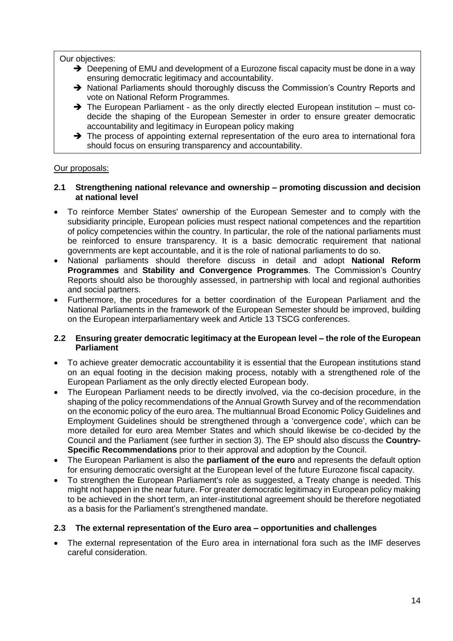Our objectives:

- $\rightarrow$  Deepening of EMU and development of a Eurozone fiscal capacity must be done in a way ensuring democratic legitimacy and accountability.
- → National Parliaments should thoroughly discuss the Commission's Country Reports and vote on National Reform Programmes.
- $\rightarrow$  The European Parliament as the only directly elected European institution must codecide the shaping of the European Semester in order to ensure greater democratic accountability and legitimacy in European policy making
- $\rightarrow$  The process of appointing external representation of the euro area to international fora should focus on ensuring transparency and accountability.

#### Our proposals:

#### <span id="page-13-0"></span>**2.1 Strengthening national relevance and ownership – promoting discussion and decision at national level**

- To reinforce Member States' ownership of the European Semester and to comply with the subsidiarity principle, European policies must respect national competences and the repartition of policy competencies within the country. In particular, the role of the national parliaments must be reinforced to ensure transparency. It is a basic democratic requirement that national governments are kept accountable, and it is the role of national parliaments to do so.
- National parliaments should therefore discuss in detail and adopt **National Reform Programmes** and **Stability and Convergence Programmes**. The Commission's Country Reports should also be thoroughly assessed, in partnership with local and regional authorities and social partners.
- Furthermore, the procedures for a better coordination of the European Parliament and the National Parliaments in the framework of the European Semester should be improved, building on the European interparliamentary week and Article 13 TSCG conferences.

#### <span id="page-13-1"></span>**2.2 Ensuring greater democratic legitimacy at the European level – the role of the European Parliament**

- To achieve greater democratic accountability it is essential that the European institutions stand on an equal footing in the decision making process, notably with a strengthened role of the European Parliament as the only directly elected European body.
- The European Parliament needs to be directly involved, via the co-decision procedure, in the shaping of the policy recommendations of the Annual Growth Survey and of the recommendation on the economic policy of the euro area. The multiannual Broad Economic Policy Guidelines and Employment Guidelines should be strengthened through a 'convergence code', which can be more detailed for euro area Member States and which should likewise be co-decided by the Council and the Parliament (see further in section 3). The EP should also discuss the **Country-Specific Recommendations** prior to their approval and adoption by the Council.
- The European Parliament is also the **parliament of the euro** and represents the default option for ensuring democratic oversight at the European level of the future Eurozone fiscal capacity.
- To strengthen the European Parliament's role as suggested, a Treaty change is needed. This might not happen in the near future. For greater democratic legitimacy in European policy making to be achieved in the short term, an inter-institutional agreement should be therefore negotiated as a basis for the Parliament's strengthened mandate.

#### <span id="page-13-2"></span>**2.3 The external representation of the Euro area – opportunities and challenges**

 The external representation of the Euro area in international fora such as the IMF deserves careful consideration.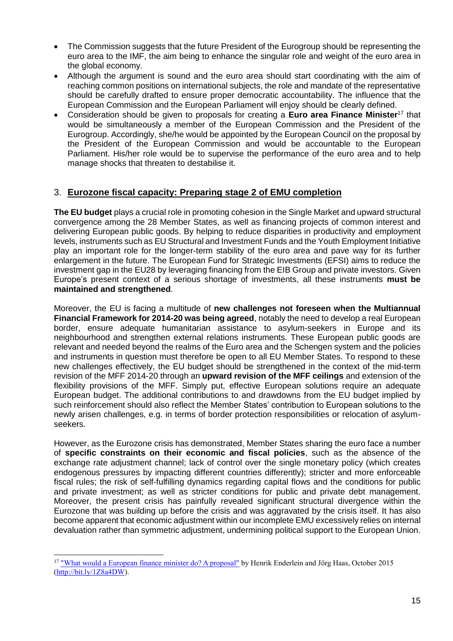- The Commission suggests that the future President of the Eurogroup should be representing the euro area to the IMF, the aim being to enhance the singular role and weight of the euro area in the global economy.
- Although the argument is sound and the euro area should start coordinating with the aim of reaching common positions on international subjects, the role and mandate of the representative should be carefully drafted to ensure proper democratic accountability. The influence that the European Commission and the European Parliament will enjoy should be clearly defined.
- Consideration should be given to proposals for creating a **Euro area Finance Minister**<sup>17</sup> that would be simultaneously a member of the European Commission and the President of the Eurogroup. Accordingly, she/he would be appointed by the European Council on the proposal by the President of the European Commission and would be accountable to the European Parliament. His/her role would be to supervise the performance of the euro area and to help manage shocks that threaten to destabilise it.

# <span id="page-14-0"></span>3. **Eurozone fiscal capacity: Preparing stage 2 of EMU completion**

**The EU budget** plays a crucial role in promoting cohesion in the Single Market and upward structural convergence among the 28 Member States, as well as financing projects of common interest and delivering European public goods. By helping to reduce disparities in productivity and employment levels, instruments such as EU Structural and Investment Funds and the Youth Employment Initiative play an important role for the longer-term stability of the euro area and pave way for its further enlargement in the future. The European Fund for Strategic Investments (EFSI) aims to reduce the investment gap in the EU28 by leveraging financing from the EIB Group and private investors. Given Europe's present context of a serious shortage of investments, all these instruments **must be maintained and strengthened**.

Moreover, the EU is facing a multitude of **new challenges not foreseen when the Multiannual Financial Framework for 2014-20 was being agreed**, notably the need to develop a real European border, ensure adequate humanitarian assistance to asylum-seekers in Europe and its neighbourhood and strengthen external relations instruments. These European public goods are relevant and needed beyond the realms of the Euro area and the Schengen system and the policies and instruments in question must therefore be open to all EU Member States. To respond to these new challenges effectively, the EU budget should be strengthened in the context of the mid-term revision of the MFF 2014-20 through an **upward revision of the MFF ceilings** and extension of the flexibility provisions of the MFF. Simply put, effective European solutions require an adequate European budget. The additional contributions to and drawdowns from the EU budget implied by such reinforcement should also reflect the Member States' contribution to European solutions to the newly arisen challenges, e.g. in terms of border protection responsibilities or relocation of asylumseekers.

However, as the Eurozone crisis has demonstrated, Member States sharing the euro face a number of **specific constraints on their economic and fiscal policies**, such as the absence of the exchange rate adjustment channel; lack of control over the single monetary policy (which creates endogenous pressures by impacting different countries differently); stricter and more enforceable fiscal rules; the risk of self-fulfilling dynamics regarding capital flows and the conditions for public and private investment; as well as stricter conditions for public and private debt management. Moreover, the present crisis has painfully revealed significant structural divergence within the Eurozone that was building up before the crisis and was aggravated by the crisis itself. It has also become apparent that economic adjustment within our incomplete EMU excessively relies on internal devaluation rather than symmetric adjustment, undermining political support to the European Union.

<sup>&</sup>lt;sup>17</sup> ["What would a European finance minister do? A proposal"](http://www.institutdelors.eu/media/ministrefinanceeuropeenjdi-ben.pdf?pdf=ok) by Henrik Enderlein and Jörg Haas, October 2015 [\(http://bit.ly/1Z8a4DW\)](http://bit.ly/1Z8a4DW).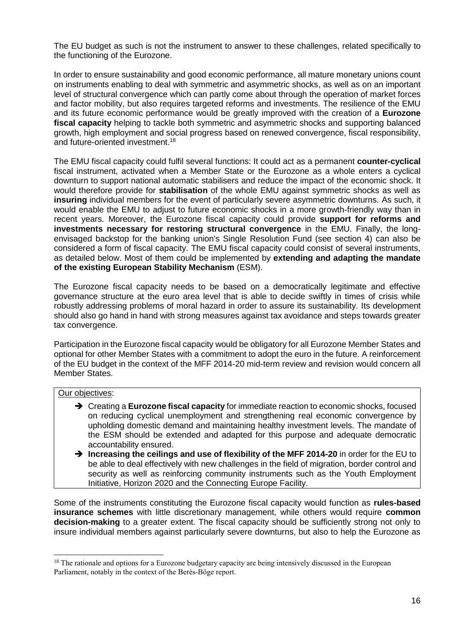The EU budget as such is not the instrument to answer to these challenges, related specifically to the functioning of the Eurozone.

In order to ensure sustainability and good economic performance, all mature monetary unions count on instruments enabling to deal with symmetric and asymmetric shocks, as well as on an important level of structural convergence which can partly come about through the operation of market forces and factor mobility, but also requires targeted reforms and investments. The resilience of the EMU and its future economic performance would be greatly improved with the creation of a **Eurozone fiscal capacity** helping to tackle both symmetric and asymmetric shocks and supporting balanced growth, high employment and social progress based on renewed convergence, fiscal responsibility, and future-oriented investment.<sup>18</sup>

The EMU fiscal capacity could fulfil several functions: It could act as a permanent **counter-cyclical** fiscal instrument, activated when a Member State or the Eurozone as a whole enters a cyclical downturn to support national automatic stabilisers and reduce the impact of the economic shock. It would therefore provide for **stabilisation** of the whole EMU against symmetric shocks as well as **insuring** individual members for the event of particularly severe asymmetric downturns. As such, it would enable the EMU to adjust to future economic shocks in a more growth-friendly way than in recent years. Moreover, the Eurozone fiscal capacity could provide **support for reforms and investments necessary for restoring structural convergence** in the EMU. Finally, the longenvisaged backstop for the banking union's Single Resolution Fund (see section 4) can also be considered a form of fiscal capacity. The EMU fiscal capacity could consist of several instruments, as detailed below. Most of them could be implemented by **extending and adapting the mandate of the existing European Stability Mechanism** (ESM).

The Eurozone fiscal capacity needs to be based on a democratically legitimate and effective governance structure at the euro area level that is able to decide swiftly in times of crisis while robustly addressing problems of moral hazard in order to assure its sustainability. Its development should also go hand in hand with strong measures against tax avoidance and steps towards greater tax convergence.

Participation in the Eurozone fiscal capacity would be obligatory for all Eurozone Member States and optional for other Member States with a commitment to adopt the euro in the future. A reinforcement of the EU budget in the context of the MFF 2014-20 mid-term review and revision would concern all Member States.

#### Our objectives:

 $\overline{a}$ 

- **→** Creating a **Eurozone fiscal capacity** for immediate reaction to economic shocks, focused on reducing cyclical unemployment and strengthening real economic convergence by upholding domestic demand and maintaining healthy investment levels. The mandate of the ESM should be extended and adapted for this purpose and adequate democratic accountability ensured.
- **→** Increasing the ceilings and use of flexibility of the MFF 2014-20 in order for the EU to be able to deal effectively with new challenges in the field of migration, border control and security as well as reinforcing community instruments such as the Youth Employment Initiative, Horizon 2020 and the Connecting Europe Facility.

Some of the instruments constituting the Eurozone fiscal capacity would function as **rules-based insurance schemes** with little discretionary management, while others would require **common decision-making** to a greater extent. The fiscal capacity should be sufficiently strong not only to insure individual members against particularly severe downturns, but also to help the Eurozone as

<sup>&</sup>lt;sup>18</sup> The rationale and options for a Eurozone budgetary capacity are being intensively discussed in the European Parliament, notably in the context of the Berès-Böge report.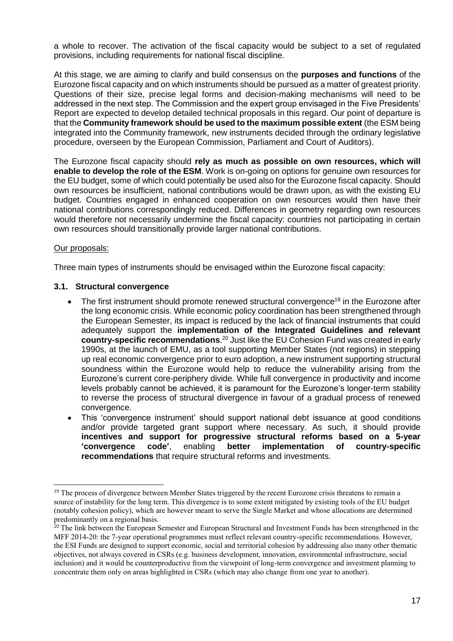a whole to recover. The activation of the fiscal capacity would be subject to a set of regulated provisions, including requirements for national fiscal discipline.

At this stage, we are aiming to clarify and build consensus on the **purposes and functions** of the Eurozone fiscal capacity and on which instruments should be pursued as a matter of greatest priority. Questions of their size, precise legal forms and decision-making mechanisms will need to be addressed in the next step. The Commission and the expert group envisaged in the Five Presidents' Report are expected to develop detailed technical proposals in this regard. Our point of departure is that the **Community framework should be used to the maximum possible extent** (the ESM being integrated into the Community framework, new instruments decided through the ordinary legislative procedure, overseen by the European Commission, Parliament and Court of Auditors).

The Eurozone fiscal capacity should **rely as much as possible on own resources, which will enable to develop the role of the ESM**. Work is on-going on options for genuine own resources for the EU budget, some of which could potentially be used also for the Eurozone fiscal capacity. Should own resources be insufficient, national contributions would be drawn upon, as with the existing EU budget. Countries engaged in enhanced cooperation on own resources would then have their national contributions correspondingly reduced. Differences in geometry regarding own resources would therefore not necessarily undermine the fiscal capacity: countries not participating in certain own resources should transitionally provide larger national contributions.

#### Our proposals:

Three main types of instruments should be envisaged within the Eurozone fiscal capacity:

#### <span id="page-16-0"></span>**3.1. Structural convergence**

- The first instrument should promote renewed structural convergence<sup>19</sup> in the Eurozone after the long economic crisis. While economic policy coordination has been strengthened through the European Semester, its impact is reduced by the lack of financial instruments that could adequately support the **implementation of the Integrated Guidelines and relevant country-specific recommendations**. <sup>20</sup> Just like the EU Cohesion Fund was created in early 1990s, at the launch of EMU, as a tool supporting Member States (not regions) in stepping up real economic convergence prior to euro adoption, a new instrument supporting structural soundness within the Eurozone would help to reduce the vulnerability arising from the Eurozone's current core-periphery divide. While full convergence in productivity and income levels probably cannot be achieved, it is paramount for the Eurozone's longer-term stability to reverse the process of structural divergence in favour of a gradual process of renewed convergence.
- This 'convergence instrument' should support national debt issuance at good conditions and/or provide targeted grant support where necessary. As such, it should provide **incentives and support for progressive structural reforms based on a 5-year 'convergence code'**, enabling **better implementation of country-specific recommendations** that require structural reforms and investments.

<sup>&</sup>lt;sup>19</sup> The process of divergence between Member States triggered by the recent Eurozone crisis threatens to remain a source of instability for the long term. This divergence is to some extent mitigated by existing tools of the EU budget (notably cohesion policy), which are however meant to serve the Single Market and whose allocations are determined predominantly on a regional basis.

<sup>&</sup>lt;sup>20</sup> The link between the European Semester and European Structural and Investment Funds has been strengthened in the MFF 2014-20: the 7-year operational programmes must reflect relevant country-specific recommendations. However, the ESI Funds are designed to support economic, social and territorial cohesion by addressing also many other thematic objectives, not always covered in CSRs (e.g. business development, innovation, environmental infrastructure, social inclusion) and it would be counterproductive from the viewpoint of long-term convergence and investment planning to concentrate them only on areas highlighted in CSRs (which may also change from one year to another).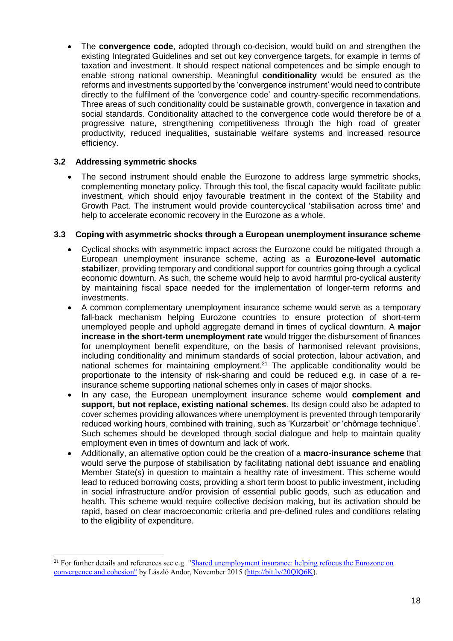The **convergence code**, adopted through co-decision, would build on and strengthen the existing Integrated Guidelines and set out key convergence targets, for example in terms of taxation and investment. It should respect national competences and be simple enough to enable strong national ownership. Meaningful **conditionality** would be ensured as the reforms and investments supported by the 'convergence instrument' would need to contribute directly to the fulfilment of the 'convergence code' and country-specific recommendations. Three areas of such conditionality could be sustainable growth, convergence in taxation and social standards. Conditionality attached to the convergence code would therefore be of a progressive nature, strengthening competitiveness through the high road of greater productivity, reduced inequalities, sustainable welfare systems and increased resource efficiency.

## <span id="page-17-0"></span>**3.2 Addressing symmetric shocks**

 $\overline{a}$ 

 The second instrument should enable the Eurozone to address large symmetric shocks, complementing monetary policy. Through this tool, the fiscal capacity would facilitate public investment, which should enjoy favourable treatment in the context of the Stability and Growth Pact. The instrument would provide countercyclical 'stabilisation across time' and help to accelerate economic recovery in the Eurozone as a whole.

## <span id="page-17-1"></span>**3.3 Coping with asymmetric shocks through a European unemployment insurance scheme**

- Cyclical shocks with asymmetric impact across the Eurozone could be mitigated through a European unemployment insurance scheme, acting as a **Eurozone-level automatic stabilizer**, providing temporary and conditional support for countries going through a cyclical economic downturn. As such, the scheme would help to avoid harmful pro-cyclical austerity by maintaining fiscal space needed for the implementation of longer-term reforms and investments.
- A common complementary unemployment insurance scheme would serve as a temporary fall-back mechanism helping Eurozone countries to ensure protection of short-term unemployed people and uphold aggregate demand in times of cyclical downturn. A **major increase in the short-term unemployment rate** would trigger the disbursement of finances for unemployment benefit expenditure, on the basis of harmonised relevant provisions, including conditionality and minimum standards of social protection, labour activation, and national schemes for maintaining employment.<sup>21</sup> The applicable conditionality would be proportionate to the intensity of risk-sharing and could be reduced e.g. in case of a reinsurance scheme supporting national schemes only in cases of major shocks.
- In any case, the European unemployment insurance scheme would **complement and support, but not replace, existing national schemes**. Its design could also be adapted to cover schemes providing allowances where unemployment is prevented through temporarily reduced working hours, combined with training, such as 'Kurzarbeit' or 'chômage technique'. Such schemes should be developed through social dialogue and help to maintain quality employment even in times of downturn and lack of work.
- Additionally, an alternative option could be the creation of a **macro-insurance scheme** that would serve the purpose of stabilisation by facilitating national debt issuance and enabling Member State(s) in question to maintain a healthy rate of investment. This scheme would lead to reduced borrowing costs, providing a short term boost to public investment, including in social infrastructure and/or provision of essential public goods, such as education and health. This scheme would require collective decision making, but its activation should be rapid, based on clear macroeconomic criteria and pre-defined rules and conditions relating to the eligibility of expenditure.

<sup>&</sup>lt;sup>21</sup> For further details and references see e.g. "Shared unemployment insurance: helping refocus the Eurozone on [convergence and cohesion"](http://www.primeeconomics.org/articles/shared-unemployment-insurance-helping-refocus-the-eurozone-on-convergence-and-cohesionhttp:/www.primeeconomics.org/articles/shared-unemployment-insurance-helping-refocus-the-eurozone-on-convergence-and-cohesion) by László Andor, November 2015 [\(http://bit.ly/20QlQ6K\)](http://bit.ly/20QlQ6K).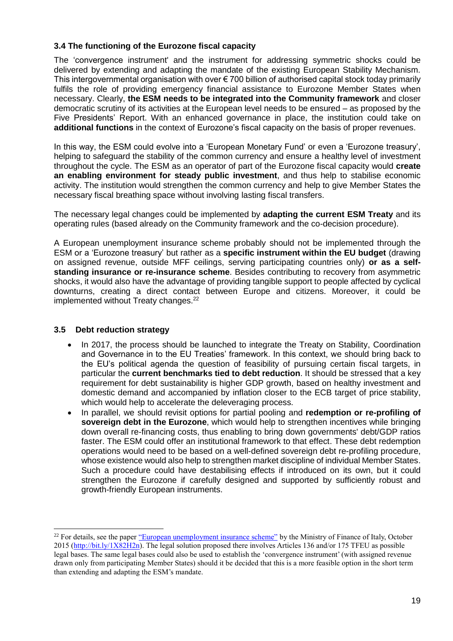## <span id="page-18-0"></span>**3.4 The functioning of the Eurozone fiscal capacity**

The 'convergence instrument' and the instrument for addressing symmetric shocks could be delivered by extending and adapting the mandate of the existing European Stability Mechanism. This intergovernmental organisation with over  $\epsilon$  700 billion of authorised capital stock today primarily fulfils the role of providing emergency financial assistance to Eurozone Member States when necessary. Clearly, **the ESM needs to be integrated into the Community framework** and closer democratic scrutiny of its activities at the European level needs to be ensured – as proposed by the Five Presidents' Report. With an enhanced governance in place, the institution could take on **additional functions** in the context of Eurozone's fiscal capacity on the basis of proper revenues.

In this way, the ESM could evolve into a 'European Monetary Fund' or even a 'Eurozone treasury', helping to safeguard the stability of the common currency and ensure a healthy level of investment throughout the cycle. The ESM as an operator of part of the Eurozone fiscal capacity would **create an enabling environment for steady public investment**, and thus help to stabilise economic activity. The institution would strengthen the common currency and help to give Member States the necessary fiscal breathing space without involving lasting fiscal transfers.

The necessary legal changes could be implemented by **adapting the current ESM Treaty** and its operating rules (based already on the Community framework and the co-decision procedure).

A European unemployment insurance scheme probably should not be implemented through the ESM or a 'Eurozone treasury' but rather as a **specific instrument within the EU budget** (drawing on assigned revenue, outside MFF ceilings, serving participating countries only) **or as a selfstanding insurance or re-insurance scheme**. Besides contributing to recovery from asymmetric shocks, it would also have the advantage of providing tangible support to people affected by cyclical downturns, creating a direct contact between Europe and citizens. Moreover, it could be implemented without Treaty changes.<sup>22</sup>

## <span id="page-18-1"></span>**3.5 Debt reduction strategy**

- In 2017, the process should be launched to integrate the Treaty on Stability, Coordination and Governance in to the EU Treaties' framework. In this context, we should bring back to the EU's political agenda the question of feasibility of pursuing certain fiscal targets, in particular the **current benchmarks tied to debt reduction**. It should be stressed that a key requirement for debt sustainability is higher GDP growth, based on healthy investment and domestic demand and accompanied by inflation closer to the ECB target of price stability, which would help to accelerate the deleveraging process.
- In parallel, we should revisit options for partial pooling and **redemption or re-profiling of sovereign debt in the Eurozone**, which would help to strengthen incentives while bringing down overall re-financing costs, thus enabling to bring down governments' debt/GDP ratios faster. The ESM could offer an institutional framework to that effect. These debt redemption operations would need to be based on a well-defined sovereign debt re-profiling procedure, whose existence would also help to strengthen market discipline of individual Member States. Such a procedure could have destabilising effects if introduced on its own, but it could strengthen the Eurozone if carefully designed and supported by sufficiently robust and growth-friendly European instruments.

<sup>&</sup>lt;sup>22</sup> For details, see the paper ["European unemployment insurance scheme"](http://sep.luiss.it/sites/sep.luiss.it/files/PAdoan%20note_unemployment_insurance_2015_5OCT.pdf) by the Ministry of Finance of Italy, October 2015 [\(http://bit.ly/1X82H2n\)](http://bit.ly/1X82H2n). The legal solution proposed there involves Articles 136 and/or 175 TFEU as possible legal bases. The same legal bases could also be used to establish the 'convergence instrument' (with assigned revenue drawn only from participating Member States) should it be decided that this is a more feasible option in the short term than extending and adapting the ESM's mandate.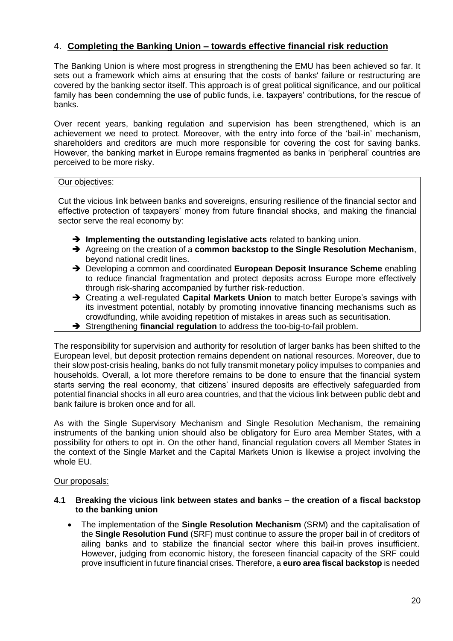# <span id="page-19-0"></span>4. **Completing the Banking Union – towards effective financial risk reduction**

The Banking Union is where most progress in strengthening the EMU has been achieved so far. It sets out a framework which aims at ensuring that the costs of banks' failure or restructuring are covered by the banking sector itself. This approach is of great political significance, and our political family has been condemning the use of public funds, i.e. taxpayers' contributions, for the rescue of banks.

Over recent years, banking regulation and supervision has been strengthened, which is an achievement we need to protect. Moreover, with the entry into force of the 'bail-in' mechanism, shareholders and creditors are much more responsible for covering the cost for saving banks. However, the banking market in Europe remains fragmented as banks in 'peripheral' countries are perceived to be more risky.

#### Our objectives:

Cut the vicious link between banks and sovereigns, ensuring resilience of the financial sector and effective protection of taxpayers' money from future financial shocks, and making the financial sector serve the real economy by:

- **Implementing the outstanding legislative acts** related to banking union.
- Agreeing on the creation of a **common backstop to the Single Resolution Mechanism**, beyond national credit lines.
- → Developing a common and coordinated **European Deposit Insurance Scheme** enabling to reduce financial fragmentation and protect deposits across Europe more effectively through risk-sharing accompanied by further risk-reduction.
- **→** Creating a well-regulated **Capital Markets Union** to match better Europe's savings with its investment potential, notably by promoting innovative financing mechanisms such as crowdfunding, while avoiding repetition of mistakes in areas such as securitisation.
- Strengthening **financial regulation** to address the too-big-to-fail problem.

The responsibility for supervision and authority for resolution of larger banks has been shifted to the European level, but deposit protection remains dependent on national resources. Moreover, due to their slow post-crisis healing, banks do not fully transmit monetary policy impulses to companies and households. Overall, a lot more therefore remains to be done to ensure that the financial system starts serving the real economy, that citizens' insured deposits are effectively safeguarded from potential financial shocks in all euro area countries, and that the vicious link between public debt and bank failure is broken once and for all.

As with the Single Supervisory Mechanism and Single Resolution Mechanism, the remaining instruments of the banking union should also be obligatory for Euro area Member States, with a possibility for others to opt in. On the other hand, financial regulation covers all Member States in the context of the Single Market and the Capital Markets Union is likewise a project involving the whole EU.

#### Our proposals:

#### <span id="page-19-1"></span>**4.1 Breaking the vicious link between states and banks – the creation of a fiscal backstop to the banking union**

 The implementation of the **Single Resolution Mechanism** (SRM) and the capitalisation of the **Single Resolution Fund** (SRF) must continue to assure the proper bail in of creditors of ailing banks and to stabilize the financial sector where this bail-in proves insufficient. However, judging from economic history, the foreseen financial capacity of the SRF could prove insufficient in future financial crises. Therefore, a **euro area fiscal backstop** is needed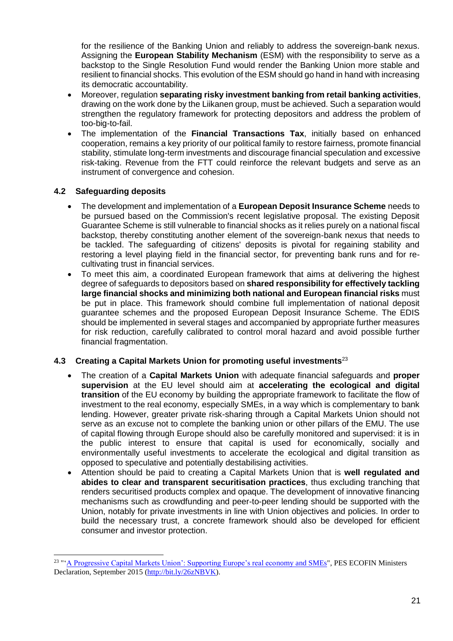for the resilience of the Banking Union and reliably to address the sovereign-bank nexus. Assigning the **European Stability Mechanism** (ESM) with the responsibility to serve as a backstop to the Single Resolution Fund would render the Banking Union more stable and resilient to financial shocks. This evolution of the ESM should go hand in hand with increasing its democratic accountability.

- Moreover, regulation **separating risky investment banking from retail banking activities**, drawing on the work done by the Liikanen group, must be achieved. Such a separation would strengthen the regulatory framework for protecting depositors and address the problem of too-big-to-fail.
- The implementation of the **Financial Transactions Tax**, initially based on enhanced cooperation, remains a key priority of our political family to restore fairness, promote financial stability, stimulate long-term investments and discourage financial speculation and excessive risk-taking. Revenue from the FTT could reinforce the relevant budgets and serve as an instrument of convergence and cohesion.

## <span id="page-20-0"></span>**4.2 Safeguarding deposits**

 $\overline{a}$ 

- The development and implementation of a **European Deposit Insurance Scheme** needs to be pursued based on the Commission's recent legislative proposal. The existing Deposit Guarantee Scheme is still vulnerable to financial shocks as it relies purely on a national fiscal backstop, thereby constituting another element of the sovereign-bank nexus that needs to be tackled. The safeguarding of citizens' deposits is pivotal for regaining stability and restoring a level playing field in the financial sector, for preventing bank runs and for recultivating trust in financial services.
- To meet this aim, a coordinated European framework that aims at delivering the highest degree of safeguards to depositors based on **shared responsibility for effectively tackling large financial shocks and minimizing both national and European financial risks** must be put in place. This framework should combine full implementation of national deposit guarantee schemes and the proposed European Deposit Insurance Scheme. The EDIS should be implemented in several stages and accompanied by appropriate further measures for risk reduction, carefully calibrated to control moral hazard and avoid possible further financial fragmentation.

### <span id="page-20-1"></span>**4.3 Creating a Capital Markets Union for promoting useful investments**<sup>23</sup>

- The creation of a **Capital Markets Union** with adequate financial safeguards and **proper supervision** at the EU level should aim at **accelerating the ecological and digital transition** of the EU economy by building the appropriate framework to facilitate the flow of investment to the real economy, especially SMEs, in a way which is complementary to bank lending. However, greater private risk-sharing through a Capital Markets Union should not serve as an excuse not to complete the banking union or other pillars of the EMU. The use of capital flowing through Europe should also be carefully monitored and supervised: it is in the public interest to ensure that capital is used for economically, socially and environmentally useful investments to accelerate the ecological and digital transition as opposed to speculative and potentially destabilising activities.
- Attention should be paid to creating a Capital Markets Union that is **well regulated and abides to clear and transparent securitisation practices**, thus excluding tranching that renders securitised products complex and opaque. The development of innovative financing mechanisms such as crowdfunding and peer-to-peer lending should be supported with the Union, notably for private investments in line with Union objectives and policies. In order to build the necessary trust, a concrete framework should also be developed for efficient consumer and investor protection.

<sup>&</sup>lt;sup>23</sup> "'<u>A Progressive Capital Markets Union': Supporting Europe's real economy and SMEs</u>", PES ECOFIN Ministers Declaration, September 2015 [\(http://bit.ly/26zNBVK\)](http://bit.ly/26zNBVK).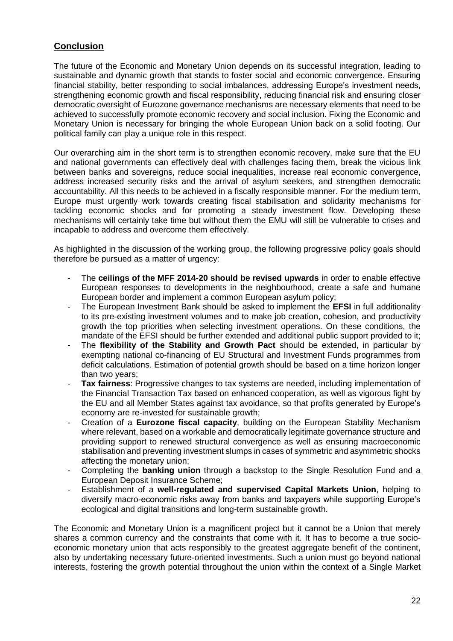# <span id="page-21-0"></span>**Conclusion**

The future of the Economic and Monetary Union depends on its successful integration, leading to sustainable and dynamic growth that stands to foster social and economic convergence. Ensuring financial stability, better responding to social imbalances, addressing Europe's investment needs, strengthening economic growth and fiscal responsibility, reducing financial risk and ensuring closer democratic oversight of Eurozone governance mechanisms are necessary elements that need to be achieved to successfully promote economic recovery and social inclusion. Fixing the Economic and Monetary Union is necessary for bringing the whole European Union back on a solid footing. Our political family can play a unique role in this respect.

Our overarching aim in the short term is to strengthen economic recovery, make sure that the EU and national governments can effectively deal with challenges facing them, break the vicious link between banks and sovereigns, reduce social inequalities, increase real economic convergence, address increased security risks and the arrival of asylum seekers, and strengthen democratic accountability. All this needs to be achieved in a fiscally responsible manner. For the medium term, Europe must urgently work towards creating fiscal stabilisation and solidarity mechanisms for tackling economic shocks and for promoting a steady investment flow. Developing these mechanisms will certainly take time but without them the EMU will still be vulnerable to crises and incapable to address and overcome them effectively.

As highlighted in the discussion of the working group, the following progressive policy goals should therefore be pursued as a matter of urgency:

- The **ceilings of the MFF 2014-20 should be revised upwards** in order to enable effective European responses to developments in the neighbourhood, create a safe and humane European border and implement a common European asylum policy;
- The European Investment Bank should be asked to implement the **EFSI** in full additionality to its pre-existing investment volumes and to make job creation, cohesion, and productivity growth the top priorities when selecting investment operations. On these conditions, the mandate of the EFSI should be further extended and additional public support provided to it;
- The **flexibility of the Stability and Growth Pact** should be extended, in particular by exempting national co-financing of EU Structural and Investment Funds programmes from deficit calculations. Estimation of potential growth should be based on a time horizon longer than two years;
- **Tax fairness:** Progressive changes to tax systems are needed, including implementation of the Financial Transaction Tax based on enhanced cooperation, as well as vigorous fight by the EU and all Member States against tax avoidance, so that profits generated by Europe's economy are re-invested for sustainable growth;
- Creation of a **Eurozone fiscal capacity**, building on the European Stability Mechanism where relevant, based on a workable and democratically legitimate governance structure and providing support to renewed structural convergence as well as ensuring macroeconomic stabilisation and preventing investment slumps in cases of symmetric and asymmetric shocks affecting the monetary union;
- Completing the **banking union** through a backstop to the Single Resolution Fund and a European Deposit Insurance Scheme;
- Establishment of a **well-regulated and supervised Capital Markets Union**, helping to diversify macro-economic risks away from banks and taxpayers while supporting Europe's ecological and digital transitions and long-term sustainable growth.

The Economic and Monetary Union is a magnificent project but it cannot be a Union that merely shares a common currency and the constraints that come with it. It has to become a true socioeconomic monetary union that acts responsibly to the greatest aggregate benefit of the continent, also by undertaking necessary future-oriented investments. Such a union must go beyond national interests, fostering the growth potential throughout the union within the context of a Single Market